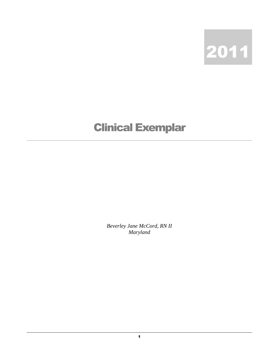

## Clinical Exemplar

*Beverley Jane McCord, RN II Maryland*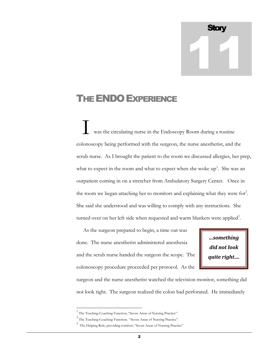## **Story** 11

## THE ENDO EXPERIENCE

 was the circulating nurse in the Endoscopy Room during a routine colonoscopy being performed with the surgeon, the nurse anesthetist, and the scrub nurse. As I brought the patient to the room we discussed allergies, her prep, what to expect in the room and what to expect when she woke  $up<sup>1</sup>$ . She was an outpatient coming in on a stretcher from Ambulatory Surgery Center. Once in the room we began attaching her to monitors and explaining what they were for<sup>2</sup>. She said she understood and was willing to comply with any instructions. She turned over on her left side when requested and warm blankets were applied<sup>3</sup>. I

 As the surgeon prepared to begin, a time out was done. The nurse anesthetist administered anesthesia and the scrub nurse handed the surgeon the scope. The colonoscopy procedure proceeded per protocol. As the

*…something did not look quite right….*

surgeon and the nurse anesthetist watched the television monitor, something did not look right. The surgeon realized the colon had perforated. He immediately

 $\overline{a}$ 

<sup>&</sup>lt;sup>1</sup> The Teaching-Coaching Function; "Seven Areas of Nursing Practice".

<sup>&</sup>lt;sup>2</sup> The Teaching-Coaching Function; "Seven Areas of Nursing Practice".

<sup>3</sup> The Helping Role, providing comfort; "Seven Areas of Nursing Practice"